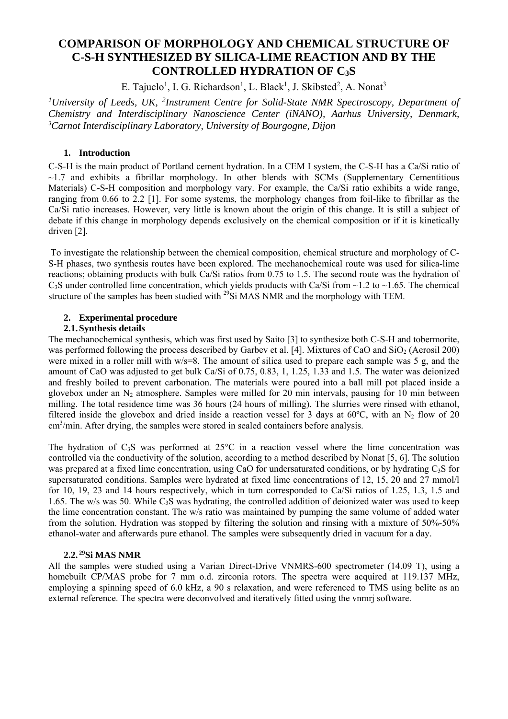# **COMPARISON OF MORPHOLOGY AND CHEMICAL STRUCTURE OF C-S-H SYNTHESIZED BY SILICA-LIME REACTION AND BY THE CONTROLLED HYDRATION OF C3S**

E. Tajuelo<sup>1</sup>, I. G. Richardson<sup>1</sup>, L. Black<sup>1</sup>, J. Skibsted<sup>2</sup>, A. Nonat<sup>3</sup>

*1University of Leeds, UK, 2Instrument Centre for Solid-State NMR Spectroscopy, Department of Chemistry and Interdisciplinary Nanoscience Center (iNANO), Aarhus University, Denmark,*  3 *Carnot Interdisciplinary Laboratory, University of Bourgogne, Dijon* 

## **1. Introduction**

C-S-H is the main product of Portland cement hydration. In a CEM I system, the C-S-H has a Ca/Si ratio of  $\sim$ 1.7 and exhibits a fibrillar morphology. In other blends with SCMs (Supplementary Cementitious Materials) C-S-H composition and morphology vary. For example, the Ca/Si ratio exhibits a wide range, ranging from 0.66 to 2.2 [1]. For some systems, the morphology changes from foil-like to fibrillar as the Ca/Si ratio increases. However, very little is known about the origin of this change. It is still a subject of debate if this change in morphology depends exclusively on the chemical composition or if it is kinetically driven [2].

 To investigate the relationship between the chemical composition, chemical structure and morphology of C-S-H phases, two synthesis routes have been explored. The mechanochemical route was used for silica-lime reactions; obtaining products with bulk Ca/Si ratios from 0.75 to 1.5. The second route was the hydration of  $C_3$ S under controlled lime concentration, which yields products with Ca/Si from ~1.2 to ~1.65. The chemical structure of the samples has been studied with <sup>29</sup>Si MAS NMR and the morphology with TEM.

## **2. Experimental procedure**

## **2.1.Synthesis details**

The mechanochemical synthesis, which was first used by Saito [3] to synthesize both C-S-H and tobermorite, was performed following the process described by Garbev et al. [4]. Mixtures of CaO and SiO<sub>2</sub> (Aerosil 200) were mixed in a roller mill with w/s=8. The amount of silica used to prepare each sample was 5 g, and the amount of CaO was adjusted to get bulk Ca/Si of 0.75, 0.83, 1, 1.25, 1.33 and 1.5. The water was deionized and freshly boiled to prevent carbonation. The materials were poured into a ball mill pot placed inside a glovebox under an  $N_2$  atmosphere. Samples were milled for 20 min intervals, pausing for 10 min between milling. The total residence time was 36 hours (24 hours of milling). The slurries were rinsed with ethanol, filtered inside the glovebox and dried inside a reaction vessel for 3 days at  $60^{\circ}$ C, with an N<sub>2</sub> flow of 20 cm<sup>3</sup>/min. After drying, the samples were stored in sealed containers before analysis.

The hydration of C<sub>3</sub>S was performed at 25°C in a reaction vessel where the lime concentration was controlled via the conductivity of the solution, according to a method described by Nonat [5, 6]. The solution was prepared at a fixed lime concentration, using CaO for undersaturated conditions, or by hydrating C<sub>3</sub>S for supersaturated conditions. Samples were hydrated at fixed lime concentrations of 12, 15, 20 and 27 mmol/l for 10, 19, 23 and 14 hours respectively, which in turn corresponded to Ca/Si ratios of 1.25, 1.3, 1.5 and 1.65. The w/s was 50. While  $C_3S$  was hydrating, the controlled addition of deionized water was used to keep the lime concentration constant. The w/s ratio was maintained by pumping the same volume of added water from the solution. Hydration was stopped by filtering the solution and rinsing with a mixture of 50%-50% ethanol-water and afterwards pure ethanol. The samples were subsequently dried in vacuum for a day.

## **2.2. 29Si MAS NMR**

All the samples were studied using a Varian Direct-Drive VNMRS-600 spectrometer (14.09 T), using a homebuilt CP/MAS probe for 7 mm o.d. zirconia rotors. The spectra were acquired at 119.137 MHz, employing a spinning speed of 6.0 kHz, a 90 s relaxation, and were referenced to TMS using belite as an external reference. The spectra were deconvolved and iteratively fitted using the vnmrj software.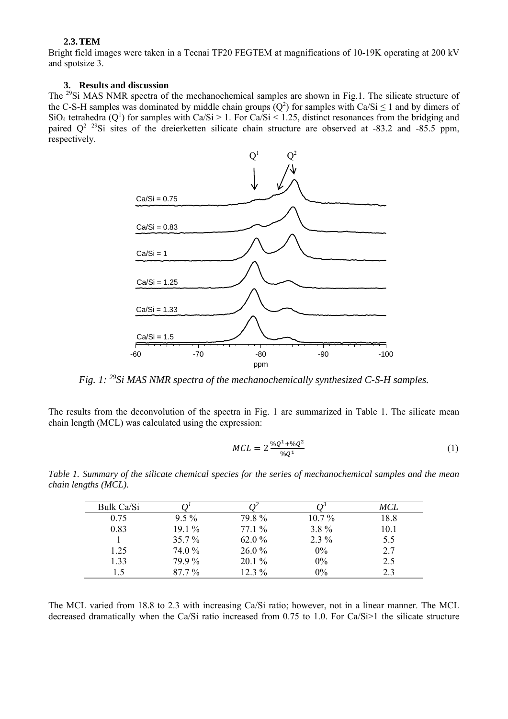## **2.3.TEM**

Bright field images were taken in a Tecnai TF20 FEGTEM at magnifications of 10-19K operating at 200 kV and spotsize 3.

## **3. Results and discussion**

The 29Si MAS NMR spectra of the mechanochemical samples are shown in Fig.1. The silicate structure of the C-S-H samples was dominated by middle chain groups  $(Q^2)$  for samples with Ca/Si  $\leq 1$  and by dimers of SiO<sub>4</sub> tetrahedra ( $Q^1$ ) for samples with Ca/Si > 1. For Ca/Si < 1.25, distinct resonances from the bridging and paired  $Q^2$  <sup>29</sup>Si sites of the dreierketten silicate chain structure are observed at -83.2 and -85.5 ppm, respectively.



*Fig. 1: 29Si MAS NMR spectra of the mechanochemically synthesized C-S-H samples.* 

The results from the deconvolution of the spectra in Fig. 1 are summarized in Table 1. The silicate mean chain length (MCL) was calculated using the expression:

$$
MCL = 2 \frac{{}^{6}Q^1 + {}^{6}Q^2}{{}^{6}Q^1}
$$
 (1)

*Table 1. Summary of the silicate chemical species for the series of mechanochemical samples and the mean chain lengths (MCL).* 

| Bulk Ca/Si |          |          |          | MCL  |
|------------|----------|----------|----------|------|
| 0.75       | $9.5\%$  | 79.8%    | $10.7\%$ | 18.8 |
| 0.83       | $19.1\%$ | $77.1\%$ | $3.8\%$  | 10.1 |
|            | $35.7\%$ | 62.0 %   | $2.3\%$  | 5.5  |
| 1.25       | 74.0 %   | $26.0\%$ | 0%       | 2.7  |
| 1.33       | 79.9%    | $20.1\%$ | 0%       | 2.5  |
| 15         | $87.7\%$ | 12.3 %   | $0\%$    | 2.3  |

The MCL varied from 18.8 to 2.3 with increasing Ca/Si ratio; however, not in a linear manner. The MCL decreased dramatically when the Ca/Si ratio increased from 0.75 to 1.0. For Ca/Si>1 the silicate structure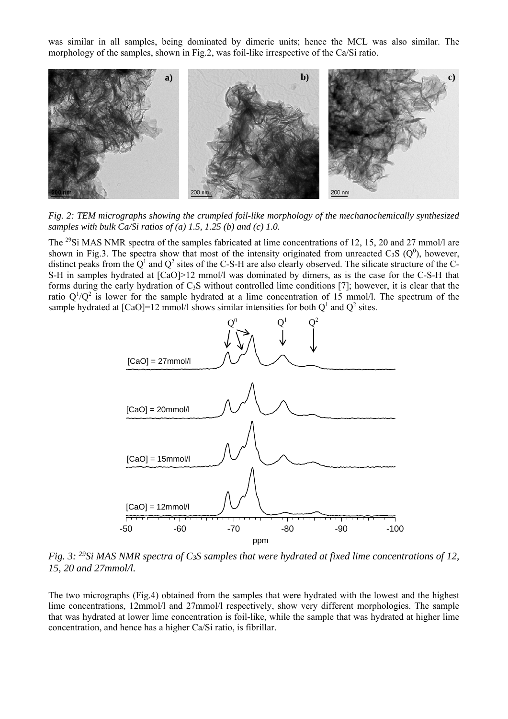was similar in all samples, being dominated by dimeric units; hence the MCL was also similar. The morphology of the samples, shown in Fig.2, was foil-like irrespective of the Ca/Si ratio.



*Fig. 2: TEM micrographs showing the crumpled foil-like morphology of the mechanochemically synthesized samples with bulk Ca/Si ratios of (a) 1.5, 1.25 (b) and (c) 1.0.* 

The <sup>29</sup>Si MAS NMR spectra of the samples fabricated at lime concentrations of 12, 15, 20 and 27 mmol/l are shown in Fig.3. The spectra show that most of the intensity originated from unreacted  $C_3S$  ( $Q^0$ ), however, distinct peaks from the  $Q^1$  and  $Q^2$  sites of the C-S-H are also clearly observed. The silicate structure of the C-S-H in samples hydrated at  $\lceil CaO \rceil$  2 mmol/l was dominated by dimers, as is the case for the C-S-H that forms during the early hydration of C3S without controlled lime conditions [7]; however, it is clear that the ratio  $Q^1/Q^2$  is lower for the sample hydrated at a lime concentration of 15 mmol/l. The spectrum of the sample hydrated at  $\text{[CaO]} = 12 \text{ mmol/l}$  shows similar intensities for both  $\text{Q}^1$  and  $\text{Q}^2$  sites.



*Fig. 3: 29Si MAS NMR spectra of C3S samples that were hydrated at fixed lime concentrations of 12, 15, 20 and 27mmol/l.*

The two micrographs (Fig.4) obtained from the samples that were hydrated with the lowest and the highest lime concentrations, 12mmol/l and 27mmol/l respectively, show very different morphologies. The sample that was hydrated at lower lime concentration is foil-like, while the sample that was hydrated at higher lime concentration, and hence has a higher Ca/Si ratio, is fibrillar.